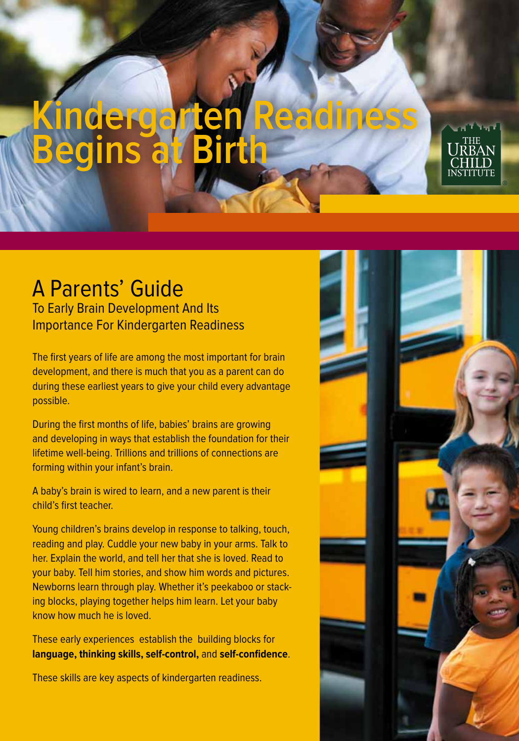# **Kindergarten Readiness Begins at Birth**

# A Parents' Guide

To Early Brain Development And Its Importance For Kindergarten Readiness

The first years of life are among the most important for brain development, and there is much that you as a parent can do during these earliest years to give your child every advantage possible.

During the first months of life, babies' brains are growing and developing in ways that establish the foundation for their lifetime well-being. Trillions and trillions of connections are forming within your infant's brain.

A baby's brain is wired to learn, and a new parent is their child's first teacher.

Young children's brains develop in response to talking, touch, reading and play. Cuddle your new baby in your arms. Talk to her. Explain the world, and tell her that she is loved. Read to your baby. Tell him stories, and show him words and pictures. Newborns learn through play. Whether it's peekaboo or stacking blocks, playing together helps him learn. Let your baby know how much he is loved.

These early experiences establish the building blocks for **language, thinking skills, self-control,** and **self-confidence**.

These skills are key aspects of kindergarten readiness.

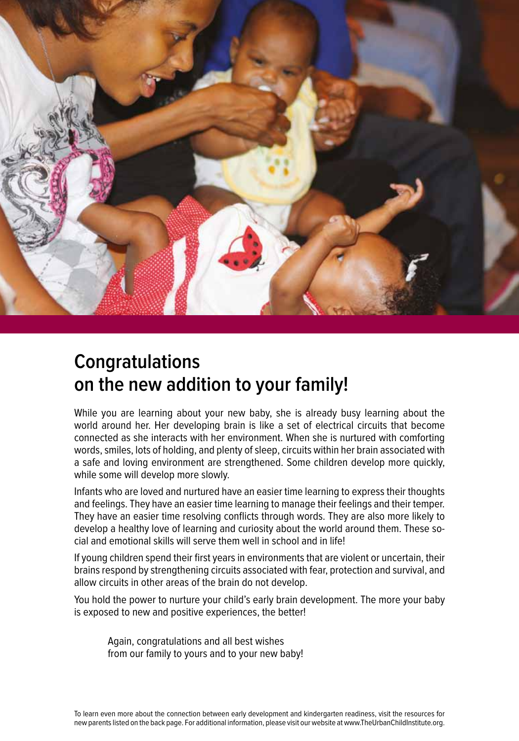

# **Congratulations on the new addition to your family!**

While you are learning about your new baby, she is already busy learning about the world around her. Her developing brain is like a set of electrical circuits that become connected as she interacts with her environment. When she is nurtured with comforting words, smiles, lots of holding, and plenty of sleep, circuits within her brain associated with a safe and loving environment are strengthened. Some children develop more quickly, while some will develop more slowly.

Infants who are loved and nurtured have an easier time learning to express their thoughts and feelings. They have an easier time learning to manage their feelings and their temper. They have an easier time resolving conflicts through words. They are also more likely to develop a healthy love of learning and curiosity about the world around them. These social and emotional skills will serve them well in school and in life!

If young children spend their first years in environments that are violent or uncertain, their brains respond by strengthening circuits associated with fear, protection and survival, and allow circuits in other areas of the brain do not develop.

You hold the power to nurture your child's early brain development. The more your baby is exposed to new and positive experiences, the better!

Again, congratulations and all best wishes from our family to yours and to your new baby!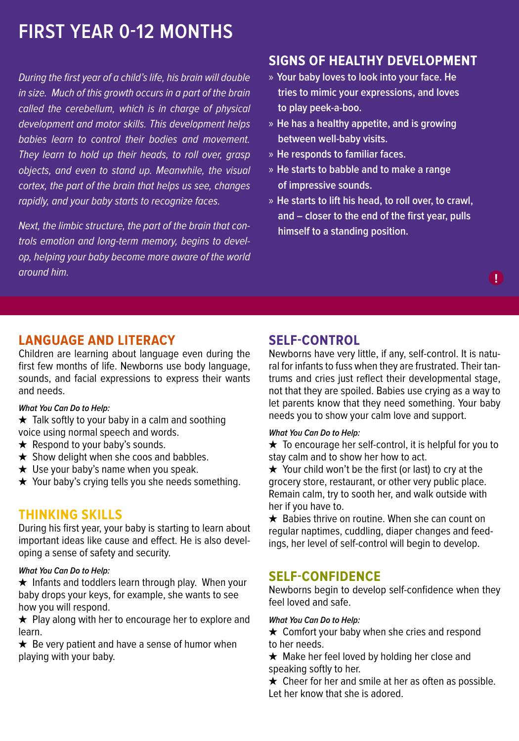# **First Year 0-12 Months**

During the first year of a child's life, his brain will double in size. Much of this growth occurs in a part of the brain called the cerebellum, which is in charge of physical development and motor skills. This development helps babies learn to control their bodies and movement. They learn to hold up their heads, to roll over, grasp objects, and even to stand up. Meanwhile, the visual cortex, the part of the brain that helps us see, changes rapidly, and your baby starts to recognize faces.

Next, the limbic structure, the part of the brain that controls emotion and long-term memory, begins to develop, helping your baby become more aware of the world around him.

## **Signs of healthy development**

- » **Your baby loves to look into your face. He tries to mimic your expressions, and loves to play peek-a-boo.**
- » **He has a healthy appetite, and is growing between well-baby visits.**
- » **He responds to familiar faces.**
- » **He starts to babble and to make a range of impressive sounds.**
- » **He starts to lift his head, to roll over, to crawl, and – closer to the end of the first year, pulls himself to a standing position.**

## **Language and Literacy**

Children are learning about language even during the first few months of life. Newborns use body language, sounds, and facial expressions to express their wants and needs.

## **What You Can Do to Help:**

★ Talk softly to your baby in a calm and soothing voice using normal speech and words.

- $\star$  Respond to your baby's sounds.
- $\star$  Show delight when she coos and babbles.
- $\star$  Use your baby's name when you speak.
- ★ Your baby's crying tells you she needs something.

## **Thinking Skills**

During his first year, your baby is starting to learn about important ideas like cause and effect. He is also developing a sense of safety and security.

## **What You Can Do to Help:**

★ Infants and toddlers learn through play. When your baby drops your keys, for example, she wants to see how you will respond.

 $\star$  Play along with her to encourage her to explore and learn.

 $\star$  Be very patient and have a sense of humor when playing with your baby.

## **Self-Control**

Newborns have very little, if any, self-control. It is natural for infants to fuss when they are frustrated. Their tantrums and cries just reflect their developmental stage, not that they are spoiled. Babies use crying as a way to let parents know that they need something. Your baby needs you to show your calm love and support.

**!**

## **What You Can Do to Help:**

 $\star$  To encourage her self-control, it is helpful for you to stay calm and to show her how to act.

★ Your child won't be the first (or last) to cry at the grocery store, restaurant, or other very public place. Remain calm, try to sooth her, and walk outside with her if you have to.

 $\star$  Babies thrive on routine. When she can count on regular naptimes, cuddling, diaper changes and feedings, her level of self-control will begin to develop.

## **Self-Confidence**

Newborns begin to develop self-confidence when they feel loved and safe.

## **What You Can Do to Help:**

 $\star$  Comfort your baby when she cries and respond to her needs.

★ Make her feel loved by holding her close and speaking softly to her.

 $\star$  Cheer for her and smile at her as often as possible. Let her know that she is adored.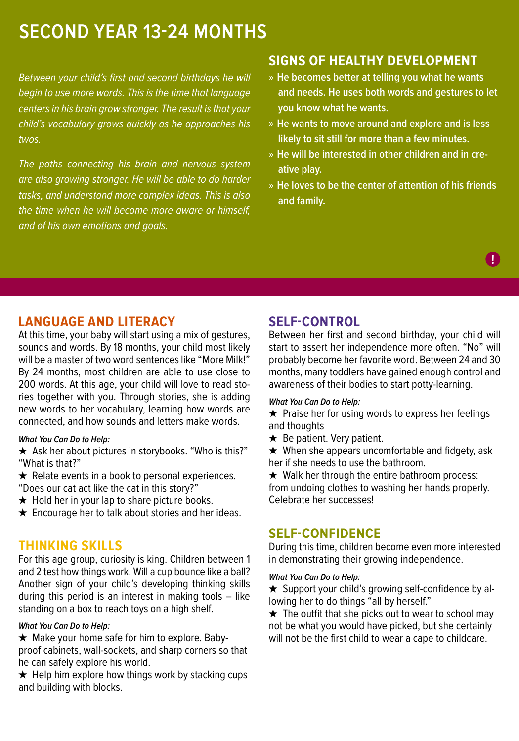## **Second Year 13-24 months**

Between your child's first and second birthdays he will begin to use more words. This is the time that language centers in his brain grow stronger. The result is that your child's vocabulary grows quickly as he approaches his twos.

The paths connecting his brain and nervous system are also growing stronger. He will be able to do harder tasks, and understand more complex ideas. This is also the time when he will become more aware or himself, and of his own emotions and goals.

## **Signs of healthy development**

- » **He becomes better at telling you what he wants and needs. He uses both words and gestures to let you know what he wants.**
- » **He wants to move around and explore and is less likely to sit still for more than a few minutes.**
- » **He will be interested in other children and in creative play.**
- » **He loves to be the center of attention of his friends and family.**

**!**

## **Language and Literacy**

At this time, your baby will start using a mix of gestures, sounds and words. By 18 months, your child most likely will be a master of two word sentences like "More Milk!" By 24 months, most children are able to use close to 200 words. At this age, your child will love to read stories together with you. Through stories, she is adding new words to her vocabulary, learning how words are connected, and how sounds and letters make words.

## **What You Can Do to Help:**

★ Ask her about pictures in storybooks. "Who is this?" "What is that?"

 $\star$  Relate events in a book to personal experiences.

- "Does our cat act like the cat in this story?"
- ★ Hold her in your lap to share picture books.
- $\star$  Encourage her to talk about stories and her ideas.

## **Thinking Skills**

For this age group, curiosity is king. Children between 1 and 2 test how things work. Will a cup bounce like a ball? Another sign of your child's developing thinking skills during this period is an interest in making tools – like standing on a box to reach toys on a high shelf.

## **What You Can Do to Help:**

 $\star$  Make your home safe for him to explore. Babyproof cabinets, wall-sockets, and sharp corners so that he can safely explore his world.

 $\star$  Help him explore how things work by stacking cups and building with blocks.

## **Self-Control**

Between her first and second birthday, your child will start to assert her independence more often. "No" will probably become her favorite word. Between 24 and 30 months, many toddlers have gained enough control and awareness of their bodies to start potty-learning.

## **What You Can Do to Help:**

 $\star$  Praise her for using words to express her feelings and thoughts

 $\star$  Be patient. Very patient.

 $\star$  When she appears uncomfortable and fidgety, ask her if she needs to use the bathroom.

 $\star$  Walk her through the entire bathroom process: from undoing clothes to washing her hands properly. Celebrate her successes!

## **Self-Confidence**

During this time, children become even more interested in demonstrating their growing independence.

## **What You Can Do to Help:**

**★** Support your child's growing self-confidence by allowing her to do things "all by herself."

 $\star$  The outfit that she picks out to wear to school may not be what you would have picked, but she certainly will not be the first child to wear a cape to childcare.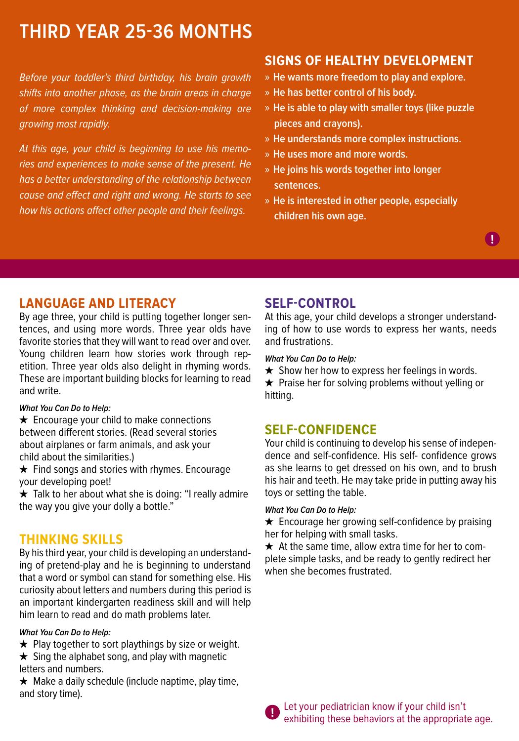# **Third Year 25-36 Months**

Before your toddler's third birthday, his brain growth shifts into another phase, as the brain areas in charge of more complex thinking and decision-making are growing most rapidly.

At this age, your child is beginning to use his memories and experiences to make sense of the present. He has a better understanding of the relationship between cause and effect and right and wrong. He starts to see how his actions affect other people and their feelings.

## **Signs of healthy development**

- » **He wants more freedom to play and explore.**
- » **He has better control of his body.**
- » **He is able to play with smaller toys (like puzzle pieces and crayons).**
- » **He understands more complex instructions.**
- » **He uses more and more words.**
- » **He joins his words together into longer sentences.**
- » **He is interested in other people, especially children his own age.**

## **Language and Literacy**

By age three, your child is putting together longer sentences, and using more words. Three year olds have favorite stories that they will want to read over and over. Young children learn how stories work through repetition. Three year olds also delight in rhyming words. These are important building blocks for learning to read and write.

## **What You Can Do to Help:**

 $\star$  Encourage your child to make connections between different stories. (Read several stories about airplanes or farm animals, and ask your child about the similarities.)

★ Find songs and stories with rhymes. Encourage your developing poet!

★ Talk to her about what she is doing: "I really admire the way you give your dolly a bottle."

## **Thinking Skills**

By his third year, your child is developing an understanding of pretend-play and he is beginning to understand that a word or symbol can stand for something else. His curiosity about letters and numbers during this period is an important kindergarten readiness skill and will help him learn to read and do math problems later.

## **What You Can Do to Help:**

- $\star$  Play together to sort playthings by size or weight.
- $\star$  Sing the alphabet song, and play with magnetic letters and numbers.

 $\star$  Make a daily schedule (include naptime, play time, and story time).

## **Self-Control**

At this age, your child develops a stronger understanding of how to use words to express her wants, needs and frustrations.

## **What You Can Do to Help:**

 $\star$  Show her how to express her feelings in words.  $\star$  Praise her for solving problems without yelling or hitting.

## **Self-Confidence**

Your child is continuing to develop his sense of independence and self-confidence. His self- confidence grows as she learns to get dressed on his own, and to brush his hair and teeth. He may take pride in putting away his toys or setting the table.

## **What You Can Do to Help:**

 $\star$  Encourage her growing self-confidence by praising her for helping with small tasks.

 $\star$  At the same time, allow extra time for her to complete simple tasks, and be ready to gently redirect her when she becomes frustrated.



Let your pediatrician know if your child isn't exhibiting these behaviors at the appropriate age. **!**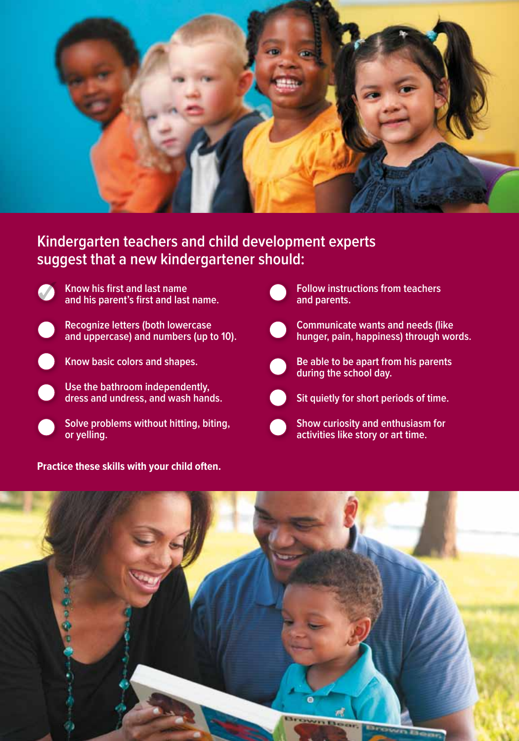

## **Kindergarten teachers and child development experts suggest that a new kindergartener should:**



✓ **Know his first and last name and his parent's first and last name.**





**Know basic colors and shapes.**

**Use the bathroom independently, dress and undress, and wash hands.**



**Practice these skills with your child often.**



**Follow instructions from teachers and parents.**



**hunger, pain, happiness) through words.**



**Be able to be apart from his parents during the school day.**



**Sit quietly for short periods of time.**



**Show curiosity and enthusiasm for activities like story or art time.**

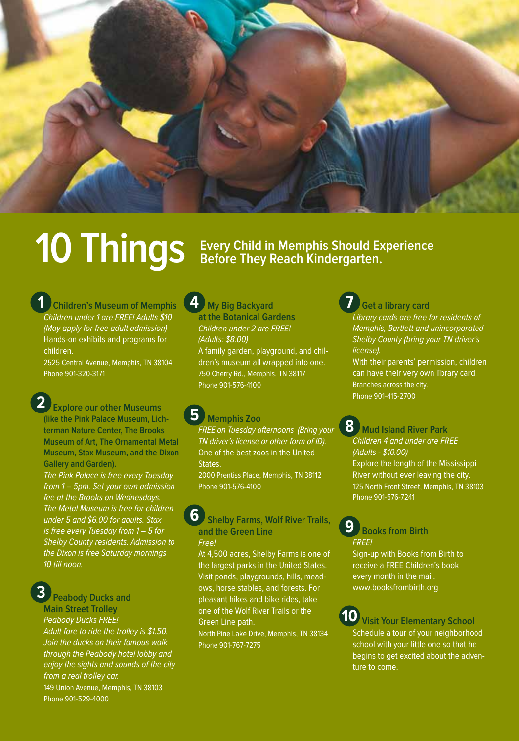

# **10 Things** Every Child in Memphis Should Experience

**Children's Museum of Memphis**  Children under 1 are FREE! Adults \$10 (May apply for free adult admission) Hands-on exhibits and programs for children. **1**

2525 Central Avenue, Memphis, TN 38104 Phone 901-320-3171



The Pink Palace is free every Tuesday from 1 – 5pm. Set your own admission fee at the Brooks on Wednesdays. The Metal Museum is free for children under 5 and \$6.00 for adults. Stax is free every Tuesday from 1 – 5 for Shelby County residents. Admission to the Dixon is free Saturday mornings 10 till noon.

**Peabody Ducks and 3**

**Main Street Trolley**

Phone 901-529-4000

Peabody Ducks FREE! Adult fare to ride the trolley is \$1.50. Join the ducks on their famous walk through the Peabody hotel lobby and enjoy the sights and sounds of the city from a real trolley car. 149 Union Avenue, Memphis, TN 38103

**My Big Backyard at the Botanical Gardens**  Children under 2 are FREE! (Adults: \$8.00) **4**

A family garden, playground, and children's museum all wrapped into one. 750 Cherry Rd., Memphis, TN 38117 Phone 901-576-4100

#### **Memphis Zoo 5**

FREE on Tuesday afternoons (Bring your TN driver's license or other form of ID). One of the best zoos in the United States. 2000 Prentiss Place, Memphis, TN 38112 Phone 901-576-4100

 **Shelby Farms, Wolf River Trails, and the Green Line** Free! **6**

At 4,500 acres, Shelby Farms is one of the largest parks in the United States. Visit ponds, playgrounds, hills, meadows, horse stables, and forests. For pleasant hikes and bike rides, take one of the Wolf River Trails or the Green Line path.

North Pine Lake Drive, Memphis, TN 38134 Phone 901-767-7275

**Get a library card** Library cards are free for residents of Memphis, Bartlett and unincorporated Shelby County (bring your TN driver's license). **7**

With their parents' permission, children can have their very own library card. Branches across the city. Phone 901-415-2700

**Mud Island River Park 8** Children 4 and under are FREE (Adults - \$10.00) Explore the length of the Mississippi River without ever leaving the city. 125 North Front Street, Memphis, TN 38103 Phone 901-576-7241

**Books from Birth** FREE! **9**

Sign-up with Books from Birth to receive a FREE Children's book every month in the mail. www.booksfrombirth.org

**Visit Your Elementary School**  Schedule a tour of your neighborhood school with your little one so that he begins to get excited about the adventure to come. **10**